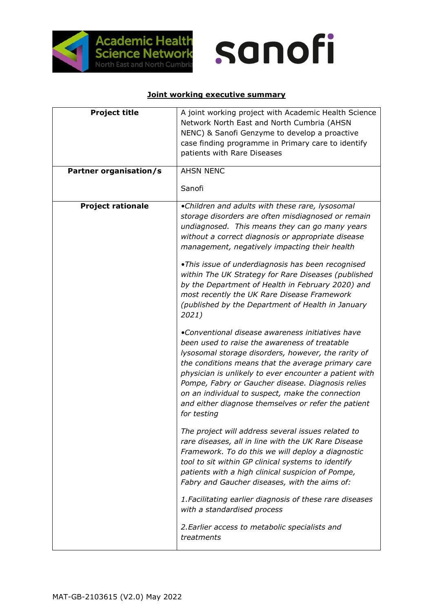

## sanofi

## **Joint working executive summary**

| <b>Project title</b><br>Partner organisation/s | A joint working project with Academic Health Science<br>Network North East and North Cumbria (AHSN<br>NENC) & Sanofi Genzyme to develop a proactive<br>case finding programme in Primary care to identify<br>patients with Rare Diseases<br><b>AHSN NENC</b><br>Sanofi                                                                                                                                                                                                                                                                                                                                                                                                                                                                                                                                                                                                                                                                                                                                                                                                                                                                                                                                                                                                                                                                                                                                                           |
|------------------------------------------------|----------------------------------------------------------------------------------------------------------------------------------------------------------------------------------------------------------------------------------------------------------------------------------------------------------------------------------------------------------------------------------------------------------------------------------------------------------------------------------------------------------------------------------------------------------------------------------------------------------------------------------------------------------------------------------------------------------------------------------------------------------------------------------------------------------------------------------------------------------------------------------------------------------------------------------------------------------------------------------------------------------------------------------------------------------------------------------------------------------------------------------------------------------------------------------------------------------------------------------------------------------------------------------------------------------------------------------------------------------------------------------------------------------------------------------|
| <b>Project rationale</b>                       | •Children and adults with these rare, lysosomal<br>storage disorders are often misdiagnosed or remain<br>undiagnosed. This means they can go many years<br>without a correct diagnosis or appropriate disease<br>management, negatively impacting their health<br>.This issue of underdiagnosis has been recognised<br>within The UK Strategy for Rare Diseases (published<br>by the Department of Health in February 2020) and<br>most recently the UK Rare Disease Framework<br>(published by the Department of Health in January<br>2021)<br>•Conventional disease awareness initiatives have<br>been used to raise the awareness of treatable<br>lysosomal storage disorders, however, the rarity of<br>the conditions means that the average primary care<br>physician is unlikely to ever encounter a patient with<br>Pompe, Fabry or Gaucher disease. Diagnosis relies<br>on an individual to suspect, make the connection<br>and either diagnose themselves or refer the patient<br>for testing<br>The project will address several issues related to<br>rare diseases, all in line with the UK Rare Disease<br>Framework. To do this we will deploy a diagnostic<br>tool to sit within GP clinical systems to identify<br>patients with a high clinical suspicion of Pompe,<br>Fabry and Gaucher diseases, with the aims of:<br>1. Facilitating earlier diagnosis of these rare diseases<br>with a standardised process |
|                                                | 2. Earlier access to metabolic specialists and<br>treatments                                                                                                                                                                                                                                                                                                                                                                                                                                                                                                                                                                                                                                                                                                                                                                                                                                                                                                                                                                                                                                                                                                                                                                                                                                                                                                                                                                     |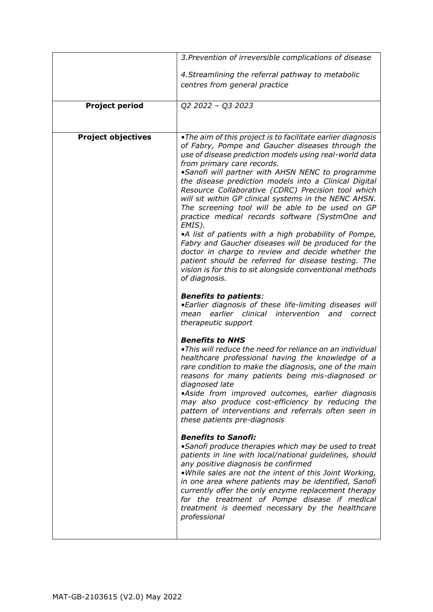|                           | 3. Prevention of irreversible complications of disease                                                                                                                                                                                                                                                                                                                                                                                                                                                                                                                                                                                                                                                                                                                                                                                                                                                                                                                                                                                                                                                                                                                                                                                                                                                                                                                                                                                                                                                                                                                                                                                                                                                                                                                                                                                                                                                                                                                                                         |
|---------------------------|----------------------------------------------------------------------------------------------------------------------------------------------------------------------------------------------------------------------------------------------------------------------------------------------------------------------------------------------------------------------------------------------------------------------------------------------------------------------------------------------------------------------------------------------------------------------------------------------------------------------------------------------------------------------------------------------------------------------------------------------------------------------------------------------------------------------------------------------------------------------------------------------------------------------------------------------------------------------------------------------------------------------------------------------------------------------------------------------------------------------------------------------------------------------------------------------------------------------------------------------------------------------------------------------------------------------------------------------------------------------------------------------------------------------------------------------------------------------------------------------------------------------------------------------------------------------------------------------------------------------------------------------------------------------------------------------------------------------------------------------------------------------------------------------------------------------------------------------------------------------------------------------------------------------------------------------------------------------------------------------------------------|
|                           | 4. Streamlining the referral pathway to metabolic<br>centres from general practice                                                                                                                                                                                                                                                                                                                                                                                                                                                                                                                                                                                                                                                                                                                                                                                                                                                                                                                                                                                                                                                                                                                                                                                                                                                                                                                                                                                                                                                                                                                                                                                                                                                                                                                                                                                                                                                                                                                             |
| <b>Project period</b>     | Q2 2022 - Q3 2023                                                                                                                                                                                                                                                                                                                                                                                                                                                                                                                                                                                                                                                                                                                                                                                                                                                                                                                                                                                                                                                                                                                                                                                                                                                                                                                                                                                                                                                                                                                                                                                                                                                                                                                                                                                                                                                                                                                                                                                              |
| <b>Project objectives</b> | • The aim of this project is to facilitate earlier diagnosis<br>of Fabry, Pompe and Gaucher diseases through the<br>use of disease prediction models using real-world data<br>from primary care records.<br>•Sanofi will partner with AHSN NENC to programme<br>the disease prediction models into a Clinical Digital<br>Resource Collaborative (CDRC) Precision tool which<br>will sit within GP clinical systems in the NENC AHSN.<br>The screening tool will be able to be used on GP<br>practice medical records software (SystmOne and<br>EMIS).<br>•A list of patients with a high probability of Pompe,<br>Fabry and Gaucher diseases will be produced for the<br>doctor in charge to review and decide whether the<br>patient should be referred for disease testing. The<br>vision is for this to sit alongside conventional methods<br>of diagnosis.<br><b>Benefits to patients:</b><br>•Earlier diagnosis of these life-limiting diseases will<br>earlier clinical<br>intervention<br>and<br>mean<br>correct<br>therapeutic support<br><b>Benefits to NHS</b><br>• This will reduce the need for reliance on an individual<br>healthcare professional having the knowledge of a<br>rare condition to make the diagnosis, one of the main<br>reasons for many patients being mis-diagnosed or<br>diagnosed late<br>•Aside from improved outcomes, earlier diagnosis<br>may also produce cost-efficiency by reducing the<br>pattern of interventions and referrals often seen in<br>these patients pre-diagnosis<br><b>Benefits to Sanofi:</b><br>•Sanofi produce therapies which may be used to treat<br>patients in line with local/national guidelines, should<br>any positive diagnosis be confirmed<br>.While sales are not the intent of this Joint Working,<br>in one area where patients may be identified, Sanofi<br>currently offer the only enzyme replacement therapy<br>for the treatment of Pompe disease if medical<br>treatment is deemed necessary by the healthcare<br>professional |
|                           |                                                                                                                                                                                                                                                                                                                                                                                                                                                                                                                                                                                                                                                                                                                                                                                                                                                                                                                                                                                                                                                                                                                                                                                                                                                                                                                                                                                                                                                                                                                                                                                                                                                                                                                                                                                                                                                                                                                                                                                                                |